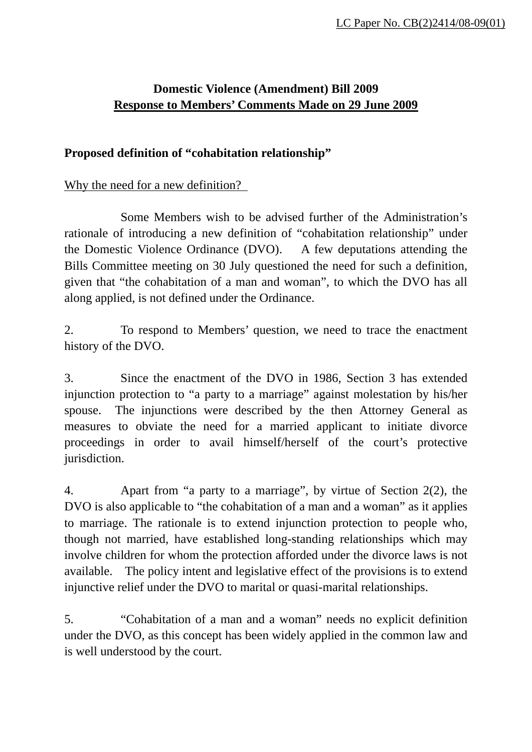## **Domestic Violence (Amendment) Bill 2009 Response to Members' Comments Made on 29 June 2009**

#### **Proposed definition of "cohabitation relationship"**

#### Why the need for a new definition?

 Some Members wish to be advised further of the Administration's rationale of introducing a new definition of "cohabitation relationship" under the Domestic Violence Ordinance (DVO). A few deputations attending the Bills Committee meeting on 30 July questioned the need for such a definition, given that "the cohabitation of a man and woman", to which the DVO has all along applied, is not defined under the Ordinance.

2. To respond to Members' question, we need to trace the enactment history of the DVO.

3. Since the enactment of the DVO in 1986, Section 3 has extended injunction protection to "a party to a marriage" against molestation by his/her spouse. The injunctions were described by the then Attorney General as measures to obviate the need for a married applicant to initiate divorce proceedings in order to avail himself/herself of the court's protective jurisdiction.

4. Apart from "a party to a marriage", by virtue of Section 2(2), the DVO is also applicable to "the cohabitation of a man and a woman" as it applies to marriage. The rationale is to extend injunction protection to people who, though not married, have established long-standing relationships which may involve children for whom the protection afforded under the divorce laws is not available. The policy intent and legislative effect of the provisions is to extend injunctive relief under the DVO to marital or quasi-marital relationships.

5. "Cohabitation of a man and a woman" needs no explicit definition under the DVO, as this concept has been widely applied in the common law and is well understood by the court.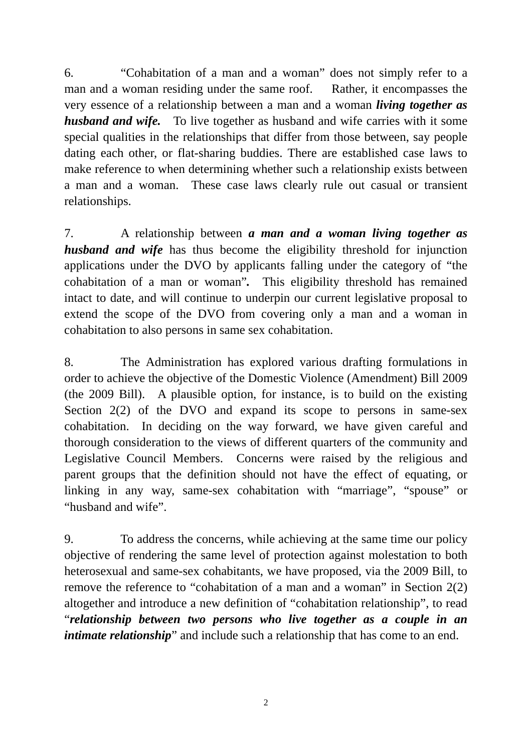6. "Cohabitation of a man and a woman" does not simply refer to a man and a woman residing under the same roof. Rather, it encompasses the very essence of a relationship between a man and a woman *living together as husband and wife.* To live together as husband and wife carries with it some special qualities in the relationships that differ from those between, say people dating each other, or flat-sharing buddies. There are established case laws to make reference to when determining whether such a relationship exists between a man and a woman. These case laws clearly rule out casual or transient relationships.

7. A relationship between *a man and a woman living together as husband and wife* has thus become the eligibility threshold for injunction applications under the DVO by applicants falling under the category of "the cohabitation of a man or woman"*.* This eligibility threshold has remained intact to date, and will continue to underpin our current legislative proposal to extend the scope of the DVO from covering only a man and a woman in cohabitation to also persons in same sex cohabitation.

8. The Administration has explored various drafting formulations in order to achieve the objective of the Domestic Violence (Amendment) Bill 2009 (the 2009 Bill). A plausible option, for instance, is to build on the existing Section 2(2) of the DVO and expand its scope to persons in same-sex cohabitation. In deciding on the way forward, we have given careful and thorough consideration to the views of different quarters of the community and Legislative Council Members. Concerns were raised by the religious and parent groups that the definition should not have the effect of equating, or linking in any way, same-sex cohabitation with "marriage", "spouse" or "husband and wife".

9. To address the concerns, while achieving at the same time our policy objective of rendering the same level of protection against molestation to both heterosexual and same-sex cohabitants, we have proposed, via the 2009 Bill, to remove the reference to "cohabitation of a man and a woman" in Section 2(2) altogether and introduce a new definition of "cohabitation relationship", to read "*relationship between two persons who live together as a couple in an intimate relationship*" and include such a relationship that has come to an end.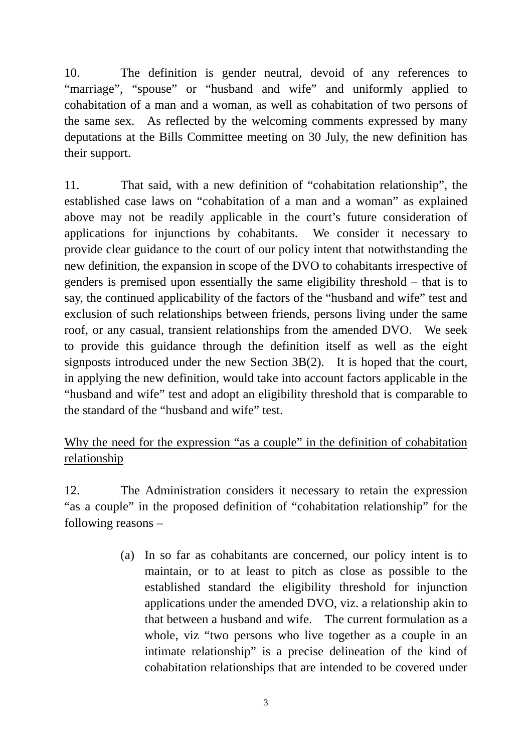10. The definition is gender neutral, devoid of any references to "marriage", "spouse" or "husband and wife" and uniformly applied to cohabitation of a man and a woman, as well as cohabitation of two persons of the same sex. As reflected by the welcoming comments expressed by many deputations at the Bills Committee meeting on 30 July, the new definition has their support.

11. That said, with a new definition of "cohabitation relationship", the established case laws on "cohabitation of a man and a woman" as explained above may not be readily applicable in the court's future consideration of applications for injunctions by cohabitants. We consider it necessary to provide clear guidance to the court of our policy intent that notwithstanding the new definition, the expansion in scope of the DVO to cohabitants irrespective of genders is premised upon essentially the same eligibility threshold – that is to say, the continued applicability of the factors of the "husband and wife" test and exclusion of such relationships between friends, persons living under the same roof, or any casual, transient relationships from the amended DVO. We seek to provide this guidance through the definition itself as well as the eight signposts introduced under the new Section 3B(2). It is hoped that the court, in applying the new definition, would take into account factors applicable in the "husband and wife" test and adopt an eligibility threshold that is comparable to the standard of the "husband and wife" test.

# Why the need for the expression "as a couple" in the definition of cohabitation relationship

12. The Administration considers it necessary to retain the expression "as a couple" in the proposed definition of "cohabitation relationship" for the following reasons –

> (a) In so far as cohabitants are concerned, our policy intent is to maintain, or to at least to pitch as close as possible to the established standard the eligibility threshold for injunction applications under the amended DVO, viz. a relationship akin to that between a husband and wife. The current formulation as a whole, viz "two persons who live together as a couple in an intimate relationship" is a precise delineation of the kind of cohabitation relationships that are intended to be covered under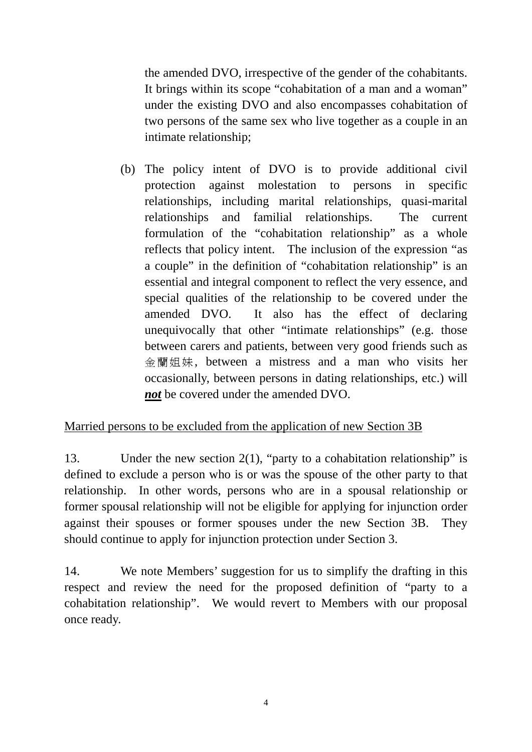the amended DVO, irrespective of the gender of the cohabitants. It brings within its scope "cohabitation of a man and a woman" under the existing DVO and also encompasses cohabitation of two persons of the same sex who live together as a couple in an intimate relationship;

(b) The policy intent of DVO is to provide additional civil protection against molestation to persons in specific relationships, including marital relationships, quasi-marital relationships and familial relationships. The current formulation of the "cohabitation relationship" as a whole reflects that policy intent. The inclusion of the expression "as a couple" in the definition of "cohabitation relationship" is an essential and integral component to reflect the very essence, and special qualities of the relationship to be covered under the amended DVO. It also has the effect of declaring unequivocally that other "intimate relationships" (e.g. those between carers and patients, between very good friends such as 金蘭姐妹, between a mistress and a man who visits her occasionally, between persons in dating relationships, etc.) will *not* be covered under the amended DVO.

# Married persons to be excluded from the application of new Section 3B

13. Under the new section 2(1), "party to a cohabitation relationship" is defined to exclude a person who is or was the spouse of the other party to that relationship. In other words, persons who are in a spousal relationship or former spousal relationship will not be eligible for applying for injunction order against their spouses or former spouses under the new Section 3B. They should continue to apply for injunction protection under Section 3.

14. We note Members' suggestion for us to simplify the drafting in this respect and review the need for the proposed definition of "party to a cohabitation relationship". We would revert to Members with our proposal once ready.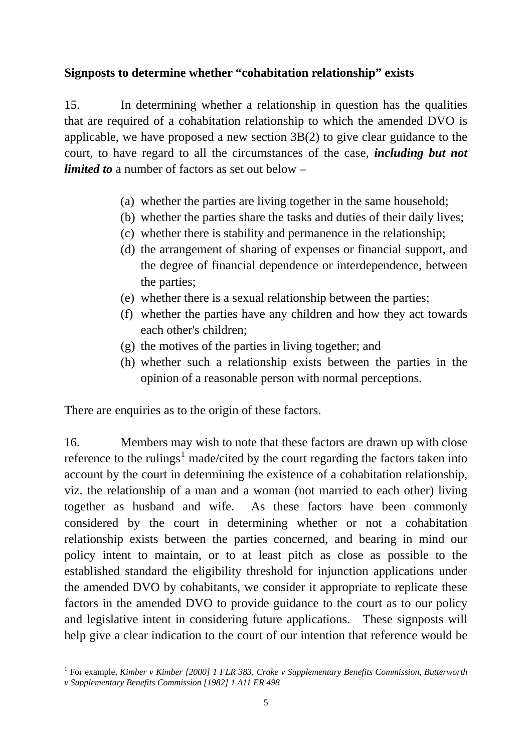## **Signposts to determine whether "cohabitation relationship" exists**

15. In determining whether a relationship in question has the qualities that are required of a cohabitation relationship to which the amended DVO is applicable, we have proposed a new section 3B(2) to give clear guidance to the court, to have regard to all the circumstances of the case, *including but not limited to* a number of factors as set out below –

- (a) whether the parties are living together in the same household;
- (b) whether the parties share the tasks and duties of their daily lives;
- (c) whether there is stability and permanence in the relationship;
- (d) the arrangement of sharing of expenses or financial support, and the degree of financial dependence or interdependence, between the parties;
- (e) whether there is a sexual relationship between the parties;
- (f) whether the parties have any children and how they act towards each other's children;
- (g) the motives of the parties in living together; and
- (h) whether such a relationship exists between the parties in the opinion of a reasonable person with normal perceptions.

There are enquiries as to the origin of these factors.

16. Members may wish to note that these factors are drawn up with close reference to the rulings<sup>[1](#page-4-0)</sup> made/cited by the court regarding the factors taken into account by the court in determining the existence of a cohabitation relationship, viz. the relationship of a man and a woman (not married to each other) living together as husband and wife. As these factors have been commonly considered by the court in determining whether or not a cohabitation relationship exists between the parties concerned, and bearing in mind our policy intent to maintain, or to at least pitch as close as possible to the established standard the eligibility threshold for injunction applications under the amended DVO by cohabitants, we consider it appropriate to replicate these factors in the amended DVO to provide guidance to the court as to our policy and legislative intent in considering future applications. These signposts will help give a clear indication to the court of our intention that reference would be

<span id="page-4-0"></span><sup>&</sup>lt;u>.</u> <sup>1</sup> For example, *Kimber v Kimber [2000] 1 FLR 383, Crake v Supplementary Benefits Commission, Butterworth v Supplementary Benefits Commission [1982] 1 A11 ER 498*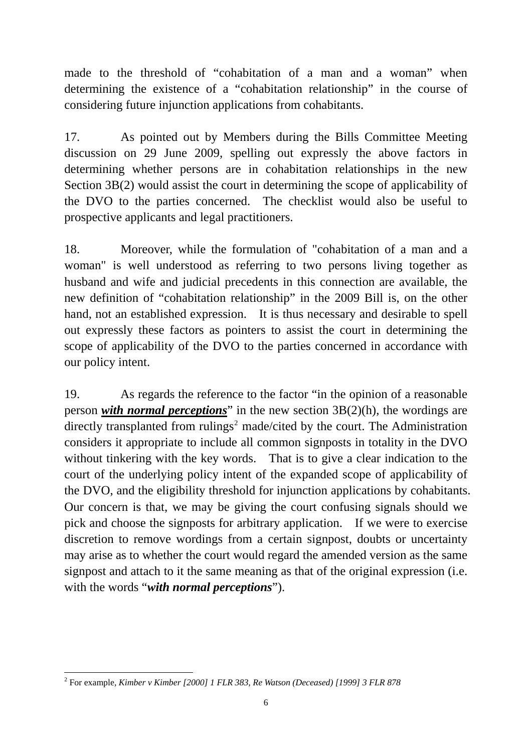made to the threshold of "cohabitation of a man and a woman" when determining the existence of a "cohabitation relationship" in the course of considering future injunction applications from cohabitants.

17. As pointed out by Members during the Bills Committee Meeting discussion on 29 June 2009, spelling out expressly the above factors in determining whether persons are in cohabitation relationships in the new Section 3B(2) would assist the court in determining the scope of applicability of the DVO to the parties concerned. The checklist would also be useful to prospective applicants and legal practitioners.

18. Moreover, while the formulation of "cohabitation of a man and a woman" is well understood as referring to two persons living together as husband and wife and judicial precedents in this connection are available, the new definition of "cohabitation relationship" in the 2009 Bill is, on the other hand, not an established expression. It is thus necessary and desirable to spell out expressly these factors as pointers to assist the court in determining the scope of applicability of the DVO to the parties concerned in accordance with our policy intent.

19. As regards the reference to the factor "in the opinion of a reasonable person *with normal perceptions*" in the new section 3B(2)(h), the wordings are directly transplanted from rulings<sup>[2](#page-5-0)</sup> made/cited by the court. The Administration considers it appropriate to include all common signposts in totality in the DVO without tinkering with the key words. That is to give a clear indication to the court of the underlying policy intent of the expanded scope of applicability of the DVO, and the eligibility threshold for injunction applications by cohabitants. Our concern is that, we may be giving the court confusing signals should we pick and choose the signposts for arbitrary application. If we were to exercise discretion to remove wordings from a certain signpost, doubts or uncertainty may arise as to whether the court would regard the amended version as the same signpost and attach to it the same meaning as that of the original expression (i.e. with the words "*with normal perceptions*").

<span id="page-5-0"></span> 2 For example, *Kimber v Kimber [2000] 1 FLR 383, Re Watson (Deceased) [1999] 3 FLR 878*